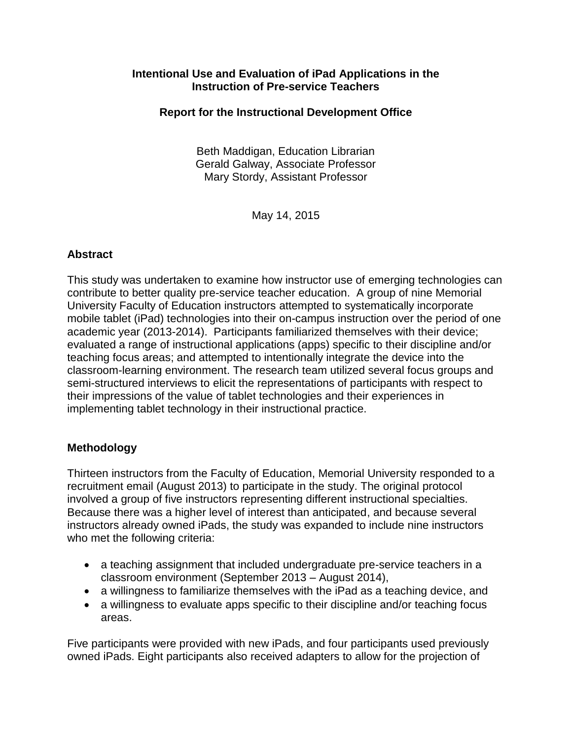### **Intentional Use and Evaluation of iPad Applications in the Instruction of Pre-service Teachers**

## **Report for the Instructional Development Office**

Beth Maddigan, Education Librarian Gerald Galway, Associate Professor Mary Stordy, Assistant Professor

May 14, 2015

## **Abstract**

This study was undertaken to examine how instructor use of emerging technologies can contribute to better quality pre-service teacher education. A group of nine Memorial University Faculty of Education instructors attempted to systematically incorporate mobile tablet (iPad) technologies into their on-campus instruction over the period of one academic year (2013-2014). Participants familiarized themselves with their device; evaluated a range of instructional applications (apps) specific to their discipline and/or teaching focus areas; and attempted to intentionally integrate the device into the classroom-learning environment. The research team utilized several focus groups and semi-structured interviews to elicit the representations of participants with respect to their impressions of the value of tablet technologies and their experiences in implementing tablet technology in their instructional practice.

### **Methodology**

Thirteen instructors from the Faculty of Education, Memorial University responded to a recruitment email (August 2013) to participate in the study. The original protocol involved a group of five instructors representing different instructional specialties. Because there was a higher level of interest than anticipated, and because several instructors already owned iPads, the study was expanded to include nine instructors who met the following criteria:

- a teaching assignment that included undergraduate pre-service teachers in a classroom environment (September 2013 – August 2014),
- a willingness to familiarize themselves with the iPad as a teaching device, and
- a willingness to evaluate apps specific to their discipline and/or teaching focus areas.

Five participants were provided with new iPads, and four participants used previously owned iPads. Eight participants also received adapters to allow for the projection of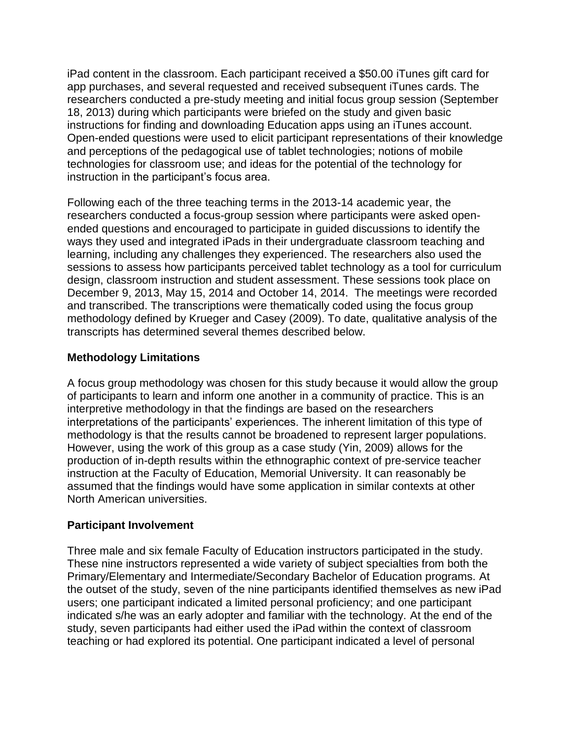iPad content in the classroom. Each participant received a \$50.00 iTunes gift card for app purchases, and several requested and received subsequent iTunes cards. The researchers conducted a pre-study meeting and initial focus group session (September 18, 2013) during which participants were briefed on the study and given basic instructions for finding and downloading Education apps using an iTunes account. Open-ended questions were used to elicit participant representations of their knowledge and perceptions of the pedagogical use of tablet technologies; notions of mobile technologies for classroom use; and ideas for the potential of the technology for instruction in the participant's focus area.

Following each of the three teaching terms in the 2013-14 academic year, the researchers conducted a focus-group session where participants were asked openended questions and encouraged to participate in guided discussions to identify the ways they used and integrated iPads in their undergraduate classroom teaching and learning, including any challenges they experienced. The researchers also used the sessions to assess how participants perceived tablet technology as a tool for curriculum design, classroom instruction and student assessment. These sessions took place on December 9, 2013, May 15, 2014 and October 14, 2014. The meetings were recorded and transcribed. The transcriptions were thematically coded using the focus group methodology defined by Krueger and Casey (2009). To date, qualitative analysis of the transcripts has determined several themes described below.

# **Methodology Limitations**

A focus group methodology was chosen for this study because it would allow the group of participants to learn and inform one another in a community of practice. This is an interpretive methodology in that the findings are based on the researchers interpretations of the participants' experiences. The inherent limitation of this type of methodology is that the results cannot be broadened to represent larger populations. However, using the work of this group as a case study (Yin, 2009) allows for the production of in-depth results within the ethnographic context of pre-service teacher instruction at the Faculty of Education, Memorial University. It can reasonably be assumed that the findings would have some application in similar contexts at other North American universities.

### **Participant Involvement**

Three male and six female Faculty of Education instructors participated in the study. These nine instructors represented a wide variety of subject specialties from both the Primary/Elementary and Intermediate/Secondary Bachelor of Education programs. At the outset of the study, seven of the nine participants identified themselves as new iPad users; one participant indicated a limited personal proficiency; and one participant indicated s/he was an early adopter and familiar with the technology. At the end of the study, seven participants had either used the iPad within the context of classroom teaching or had explored its potential. One participant indicated a level of personal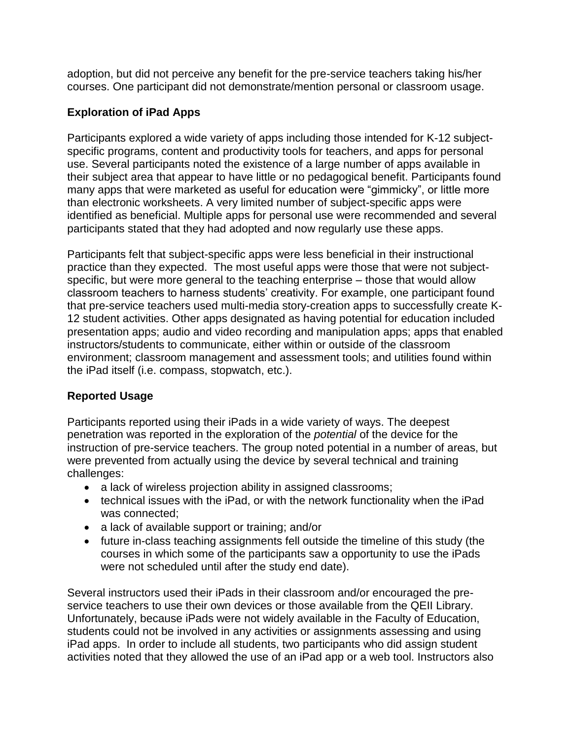adoption, but did not perceive any benefit for the pre-service teachers taking his/her courses. One participant did not demonstrate/mention personal or classroom usage.

## **Exploration of iPad Apps**

Participants explored a wide variety of apps including those intended for K-12 subjectspecific programs, content and productivity tools for teachers, and apps for personal use. Several participants noted the existence of a large number of apps available in their subject area that appear to have little or no pedagogical benefit. Participants found many apps that were marketed as useful for education were "gimmicky", or little more than electronic worksheets. A very limited number of subject-specific apps were identified as beneficial. Multiple apps for personal use were recommended and several participants stated that they had adopted and now regularly use these apps.

Participants felt that subject-specific apps were less beneficial in their instructional practice than they expected. The most useful apps were those that were not subjectspecific, but were more general to the teaching enterprise – those that would allow classroom teachers to harness students' creativity. For example, one participant found that pre-service teachers used multi-media story-creation apps to successfully create K-12 student activities. Other apps designated as having potential for education included presentation apps; audio and video recording and manipulation apps; apps that enabled instructors/students to communicate, either within or outside of the classroom environment; classroom management and assessment tools; and utilities found within the iPad itself (i.e. compass, stopwatch, etc.).

# **Reported Usage**

Participants reported using their iPads in a wide variety of ways. The deepest penetration was reported in the exploration of the *potential* of the device for the instruction of pre-service teachers. The group noted potential in a number of areas, but were prevented from actually using the device by several technical and training challenges:

- a lack of wireless projection ability in assigned classrooms;
- technical issues with the iPad, or with the network functionality when the iPad was connected;
- a lack of available support or training; and/or
- future in-class teaching assignments fell outside the timeline of this study (the courses in which some of the participants saw a opportunity to use the iPads were not scheduled until after the study end date).

Several instructors used their iPads in their classroom and/or encouraged the preservice teachers to use their own devices or those available from the QEII Library. Unfortunately, because iPads were not widely available in the Faculty of Education, students could not be involved in any activities or assignments assessing and using iPad apps. In order to include all students, two participants who did assign student activities noted that they allowed the use of an iPad app or a web tool. Instructors also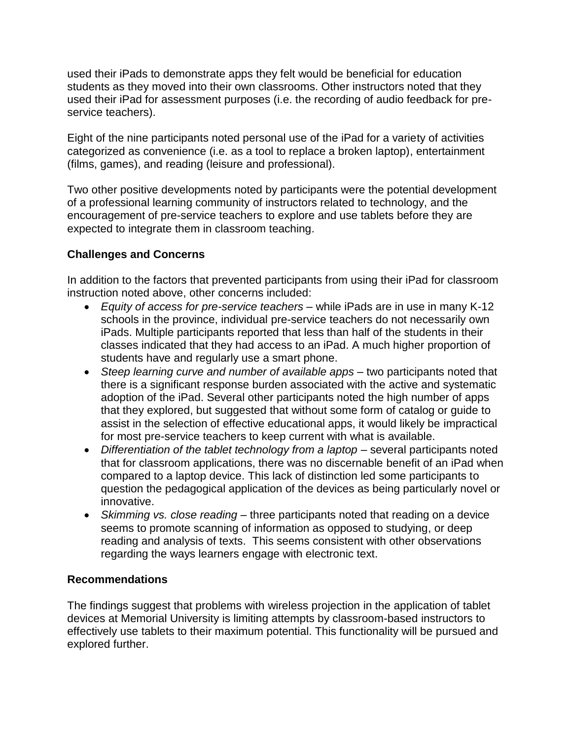used their iPads to demonstrate apps they felt would be beneficial for education students as they moved into their own classrooms. Other instructors noted that they used their iPad for assessment purposes (i.e. the recording of audio feedback for preservice teachers).

Eight of the nine participants noted personal use of the iPad for a variety of activities categorized as convenience (i.e. as a tool to replace a broken laptop), entertainment (films, games), and reading (leisure and professional).

Two other positive developments noted by participants were the potential development of a professional learning community of instructors related to technology, and the encouragement of pre-service teachers to explore and use tablets before they are expected to integrate them in classroom teaching.

# **Challenges and Concerns**

In addition to the factors that prevented participants from using their iPad for classroom instruction noted above, other concerns included:

- *Equity of access for pre-service teachers* while iPads are in use in many K-12 schools in the province, individual pre-service teachers do not necessarily own iPads. Multiple participants reported that less than half of the students in their classes indicated that they had access to an iPad. A much higher proportion of students have and regularly use a smart phone.
- *Steep learning curve and number of available apps* two participants noted that there is a significant response burden associated with the active and systematic adoption of the iPad. Several other participants noted the high number of apps that they explored, but suggested that without some form of catalog or guide to assist in the selection of effective educational apps, it would likely be impractical for most pre-service teachers to keep current with what is available.
- *Differentiation of the tablet technology from a laptop* several participants noted that for classroom applications, there was no discernable benefit of an iPad when compared to a laptop device. This lack of distinction led some participants to question the pedagogical application of the devices as being particularly novel or innovative.
- *Skimming vs. close reading* three participants noted that reading on a device seems to promote scanning of information as opposed to studying, or deep reading and analysis of texts. This seems consistent with other observations regarding the ways learners engage with electronic text.

### **Recommendations**

The findings suggest that problems with wireless projection in the application of tablet devices at Memorial University is limiting attempts by classroom-based instructors to effectively use tablets to their maximum potential. This functionality will be pursued and explored further.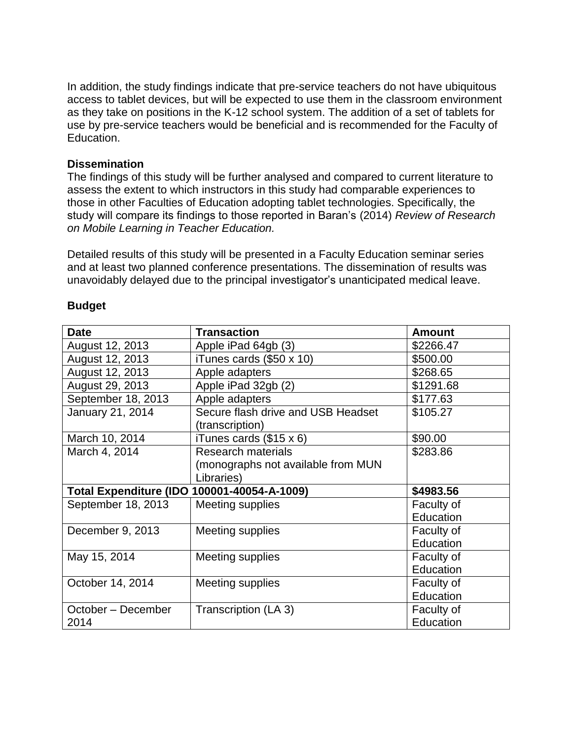In addition, the study findings indicate that pre-service teachers do not have ubiquitous access to tablet devices, but will be expected to use them in the classroom environment as they take on positions in the K-12 school system. The addition of a set of tablets for use by pre-service teachers would be beneficial and is recommended for the Faculty of Education.

#### **Dissemination**

The findings of this study will be further analysed and compared to current literature to assess the extent to which instructors in this study had comparable experiences to those in other Faculties of Education adopting tablet technologies. Specifically, the study will compare its findings to those reported in Baran's (2014) *Review of Research on Mobile Learning in Teacher Education.*

Detailed results of this study will be presented in a Faculty Education seminar series and at least two planned conference presentations. The dissemination of results was unavoidably delayed due to the principal investigator's unanticipated medical leave.

| <b>Date</b>                                 | <b>Transaction</b>                                    | <b>Amount</b> |
|---------------------------------------------|-------------------------------------------------------|---------------|
| August 12, 2013                             | Apple iPad 64gb (3)                                   | \$2266.47     |
| August 12, 2013                             | iTunes cards $(\$50 \times 10)$                       | \$500.00      |
| August 12, 2013                             | Apple adapters                                        | \$268.65      |
| August 29, 2013                             | Apple iPad 32gb (2)                                   | \$1291.68     |
| September 18, 2013                          | Apple adapters                                        | \$177.63      |
| January 21, 2014                            | Secure flash drive and USB Headset<br>(transcription) | \$105.27      |
| March 10, 2014                              | iTunes cards $(\$15 \times 6)$                        | \$90.00       |
| March 4, 2014                               | <b>Research materials</b>                             | \$283.86      |
|                                             | (monographs not available from MUN                    |               |
|                                             | Libraries)                                            |               |
| Total Expenditure (IDO 100001-40054-A-1009) |                                                       | \$4983.56     |
| September 18, 2013                          | Meeting supplies                                      | Faculty of    |
|                                             |                                                       | Education     |
| December 9, 2013                            | Meeting supplies                                      | Faculty of    |
|                                             |                                                       | Education     |
| May 15, 2014                                | Meeting supplies                                      | Faculty of    |
|                                             |                                                       | Education     |
| October 14, 2014                            | Meeting supplies                                      | Faculty of    |
|                                             |                                                       | Education     |
| October – December                          | Transcription (LA 3)                                  | Faculty of    |
| 2014                                        |                                                       | Education     |

#### **Budget**